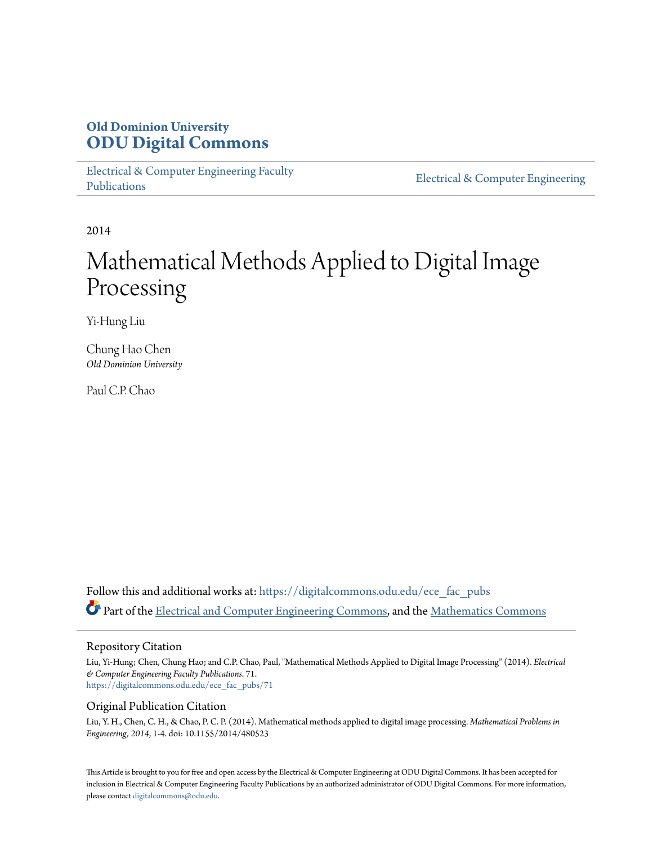## **Old Dominion University [ODU Digital Commons](https://digitalcommons.odu.edu?utm_source=digitalcommons.odu.edu%2Fece_fac_pubs%2F71&utm_medium=PDF&utm_campaign=PDFCoverPages)**

[Electrical & Computer Engineering Faculty](https://digitalcommons.odu.edu/ece_fac_pubs?utm_source=digitalcommons.odu.edu%2Fece_fac_pubs%2F71&utm_medium=PDF&utm_campaign=PDFCoverPages) [Publications](https://digitalcommons.odu.edu/ece_fac_pubs?utm_source=digitalcommons.odu.edu%2Fece_fac_pubs%2F71&utm_medium=PDF&utm_campaign=PDFCoverPages)

[Electrical & Computer Engineering](https://digitalcommons.odu.edu/ece?utm_source=digitalcommons.odu.edu%2Fece_fac_pubs%2F71&utm_medium=PDF&utm_campaign=PDFCoverPages)

2014

# Mathematical Methods Applied to Digital Image Processing

Yi-Hung Liu

Chung Hao Chen *Old Dominion University*

Paul C.P. Chao

Follow this and additional works at: [https://digitalcommons.odu.edu/ece\\_fac\\_pubs](https://digitalcommons.odu.edu/ece_fac_pubs?utm_source=digitalcommons.odu.edu%2Fece_fac_pubs%2F71&utm_medium=PDF&utm_campaign=PDFCoverPages) Part of the [Electrical and Computer Engineering Commons](http://network.bepress.com/hgg/discipline/266?utm_source=digitalcommons.odu.edu%2Fece_fac_pubs%2F71&utm_medium=PDF&utm_campaign=PDFCoverPages), and the [Mathematics Commons](http://network.bepress.com/hgg/discipline/174?utm_source=digitalcommons.odu.edu%2Fece_fac_pubs%2F71&utm_medium=PDF&utm_campaign=PDFCoverPages)

#### Repository Citation

Liu, Yi-Hung; Chen, Chung Hao; and C.P. Chao, Paul, "Mathematical Methods Applied to Digital Image Processing" (2014). *Electrical & Computer Engineering Faculty Publications*. 71. [https://digitalcommons.odu.edu/ece\\_fac\\_pubs/71](https://digitalcommons.odu.edu/ece_fac_pubs/71?utm_source=digitalcommons.odu.edu%2Fece_fac_pubs%2F71&utm_medium=PDF&utm_campaign=PDFCoverPages)

#### Original Publication Citation

Liu, Y. H., Chen, C. H., & Chao, P. C. P. (2014). Mathematical methods applied to digital image processing. *Mathematical Problems in Engineering, 2014*, 1-4. doi: 10.1155/2014/480523

This Article is brought to you for free and open access by the Electrical & Computer Engineering at ODU Digital Commons. It has been accepted for inclusion in Electrical & Computer Engineering Faculty Publications by an authorized administrator of ODU Digital Commons. For more information, please contact [digitalcommons@odu.edu](mailto:digitalcommons@odu.edu).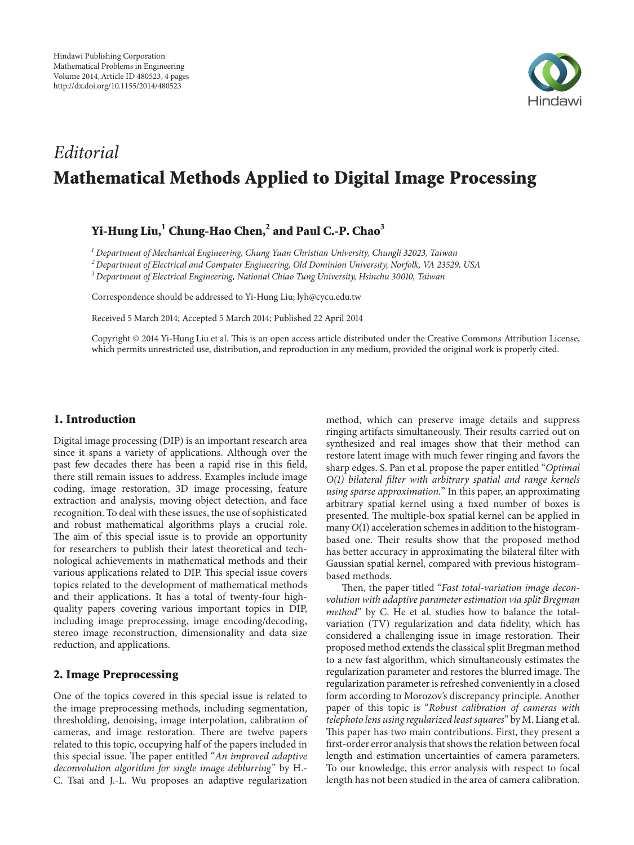

## *Editorial* **Mathematical Methods Applied to Digital Image Processing**

### **Yi-Hung Liu,1 Chung-Hao Chen,2 and Paul C.-P. Chao3**

*<sup>1</sup> Department of Mechanical Engineering, Chung Yuan Christian University, Chungli 32023, Taiwan*

*<sup>2</sup> Department of Electrical and Computer Engineering, Old Dominion University, Norfolk, VA 23529, USA*

*<sup>3</sup> Department of Electrical Engineering, National Chiao Tung University, Hsinchu 30010, Taiwan*

Correspondence should be addressed to Yi-Hung Liu; lyh@cycu.edu.tw

Received 5 March 2014; Accepted 5 March 2014; Published 22 April 2014

Copyright © 2014 Yi-Hung Liu et al. This is an open access article distributed under the Creative Commons Attribution License, which permits unrestricted use, distribution, and reproduction in any medium, provided the original work is properly cited.

#### **1. Introduction**

Digital image processing (DIP) is an important research area since it spans a variety of applications. Although over the past few decades there has been a rapid rise in this field, there still remain issues to address. Examples include image coding, image restoration, 3D image processing, feature extraction and analysis, moving object detection, and face recognition. To deal with these issues, the use of sophisticated and robust mathematical algorithms plays a crucial role. The aim of this special issue is to provide an opportunity for researchers to publish their latest theoretical and technological achievements in mathematical methods and their various applications related to DIP. This special issue covers topics related to the development of mathematical methods and their applications. It has a total of twenty-four highquality papers covering various important topics in DIP, including image preprocessing, image encoding/decoding, stereo image reconstruction, dimensionality and data size reduction, and applications.

#### **2. Image Preprocessing**

One of the topics covered in this special issue is related to the image preprocessing methods, including segmentation, thresholding, denoising, image interpolation, calibration of cameras, and image restoration. There are twelve papers related to this topic, occupying half of the papers included in this special issue. The paper entitled "*An improved adaptive deconvolution algorithm for single image deblurring*" by H.- C. Tsai and J.-L. Wu proposes an adaptive regularization

method, which can preserve image details and suppress ringing artifacts simultaneously. Their results carried out on synthesized and real images show that their method can restore latent image with much fewer ringing and favors the sharp edges. S. Pan et al. propose the paper entitled "*Optimal O(1) bilateral filter with arbitrary spatial and range kernels using sparse approximation.*" In this paper, an approximating arbitrary spatial kernel using a fixed number of boxes is presented. The multiple-box spatial kernel can be applied in many *O*(1) acceleration schemes in addition to the histogrambased one. Their results show that the proposed method has better accuracy in approximating the bilateral filter with Gaussian spatial kernel, compared with previous histogrambased methods.

Then, the paper titled "*Fast total-variation image deconvolution with adaptive parameter estimation via split Bregman method*" by C. He et al. studies how to balance the totalvariation (TV) regularization and data fidelity, which has considered a challenging issue in image restoration. Their proposed method extends the classical split Bregman method to a new fast algorithm, which simultaneously estimates the regularization parameter and restores the blurred image. The regularization parameter is refreshed conveniently in a closed form according to Morozov's discrepancy principle. Another paper of this topic is "*Robust calibration of cameras with telephoto lens using regularized least squares*" by M. Liang et al. This paper has two main contributions. First, they present a first-order error analysis that shows the relation between focal length and estimation uncertainties of camera parameters. To our knowledge, this error analysis with respect to focal length has not been studied in the area of camera calibration.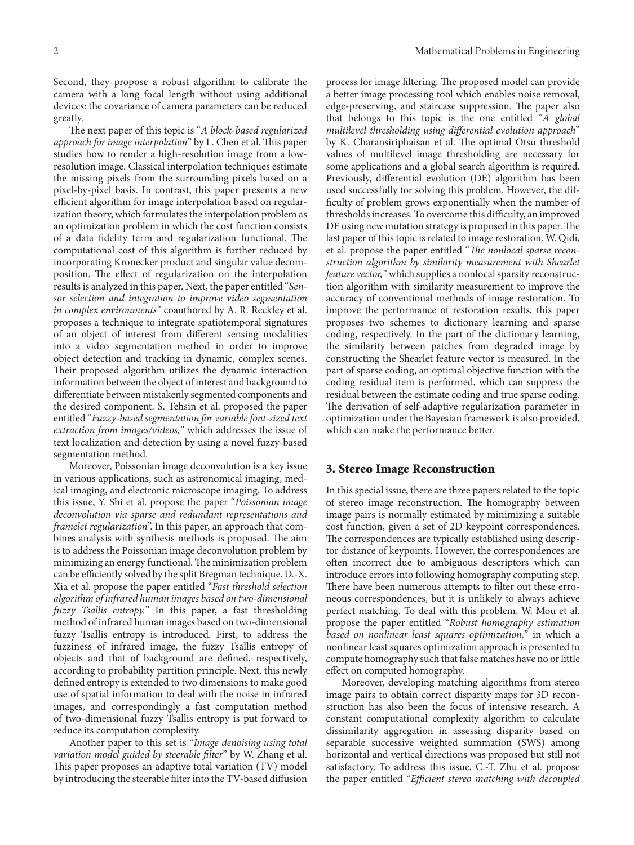Second, they propose a robust algorithm to calibrate the camera with a long focal length without using additional devices: the covariance of camera parameters can be reduced greatly.

The next paper of this topic is "*A block-based regularized approach for image interpolation*" by L. Chen et al. This paper studies how to render a high-resolution image from a lowresolution image. Classical interpolation techniques estimate the missing pixels from the surrounding pixels based on a pixel-by-pixel basis. In contrast, this paper presents a new efficient algorithm for image interpolation based on regularization theory, which formulates the interpolation problem as an optimization problem in which the cost function consists of a data fidelity term and regularization functional. The computational cost of this algorithm is further reduced by incorporating Kronecker product and singular value decomposition. The effect of regularization on the interpolation results is analyzed in this paper. Next, the paper entitled "*Sensor selection and integration to improve video segmentation in complex environments*" coauthored by A. R. Reckley et al. proposes a technique to integrate spatiotemporal signatures of an object of interest from different sensing modalities into a video segmentation method in order to improve object detection and tracking in dynamic, complex scenes. Their proposed algorithm utilizes the dynamic interaction information between the object of interest and background to differentiate between mistakenly segmented components and the desired component. S. Tehsin et al. proposed the paper entitled "*Fuzzy-based segmentation for variable font-sized text extraction from images/videos,*" which addresses the issue of text localization and detection by using a novel fuzzy-based segmentation method.

Moreover, Poissonian image deconvolution is a key issue in various applications, such as astronomical imaging, medical imaging, and electronic microscope imaging. To address this issue, Y. Shi et al. propose the paper "*Poissonian image deconvolution via sparse and redundant representations and framelet regularization*". In this paper, an approach that combines analysis with synthesis methods is proposed. The aim is to address the Poissonian image deconvolution problem by minimizing an energy functional.The minimization problem can be efficiently solved by the split Bregman technique. D.-X. Xia et al. propose the paper entitled "*Fast threshold selection algorithm of infrared human images based on two-dimensional fuzzy Tsallis entropy.*" In this paper, a fast thresholding method of infrared human images based on two-dimensional fuzzy Tsallis entropy is introduced. First, to address the fuzziness of infrared image, the fuzzy Tsallis entropy of objects and that of background are defined, respectively, according to probability partition principle. Next, this newly defined entropy is extended to two dimensions to make good use of spatial information to deal with the noise in infrared images, and correspondingly a fast computation method of two-dimensional fuzzy Tsallis entropy is put forward to reduce its computation complexity.

Another paper to this set is "*Image denoising using total variation model guided by steerable filter*" by W. Zhang et al. This paper proposes an adaptive total variation (TV) model by introducing the steerable filter into the TV-based diffusion

process for image filtering. The proposed model can provide a better image processing tool which enables noise removal, edge-preserving, and staircase suppression. The paper also that belongs to this topic is the one entitled "*A global multilevel thresholding using differential evolution approach*" by K. Charansiriphaisan et al. The optimal Otsu threshold values of multilevel image thresholding are necessary for some applications and a global search algorithm is required. Previously, differential evolution (DE) algorithm has been used successfully for solving this problem. However, the difficulty of problem grows exponentially when the number of thresholds increases. To overcome this difficulty, an improved DE using new mutation strategy is proposed in this paper.The last paper of this topic is related to image restoration. W. Qidi, et al. propose the paper entitled "*The nonlocal sparse reconstruction algorithm by similarity measurement with Shearlet feature vector,*" which supplies a nonlocal sparsity reconstruction algorithm with similarity measurement to improve the accuracy of conventional methods of image restoration. To improve the performance of restoration results, this paper proposes two schemes to dictionary learning and sparse coding, respectively. In the part of the dictionary learning, the similarity between patches from degraded image by constructing the Shearlet feature vector is measured. In the part of sparse coding, an optimal objective function with the coding residual item is performed, which can suppress the residual between the estimate coding and true sparse coding. The derivation of self-adaptive regularization parameter in optimization under the Bayesian framework is also provided, which can make the performance better.

#### **3. Stereo Image Reconstruction**

In this special issue, there are three papers related to the topic of stereo image reconstruction. The homography between image pairs is normally estimated by minimizing a suitable cost function, given a set of 2D keypoint correspondences. The correspondences are typically established using descriptor distance of keypoints. However, the correspondences are often incorrect due to ambiguous descriptors which can introduce errors into following homography computing step. There have been numerous attempts to filter out these erroneous correspondences, but it is unlikely to always achieve perfect matching. To deal with this problem, W. Mou et al. propose the paper entitled "*Robust homography estimation based on nonlinear least squares optimization,*" in which a nonlinear least squares optimization approach is presented to compute homography such that false matches have no or little effect on computed homography.

Moreover, developing matching algorithms from stereo image pairs to obtain correct disparity maps for 3D reconstruction has also been the focus of intensive research. A constant computational complexity algorithm to calculate dissimilarity aggregation in assessing disparity based on separable successive weighted summation (SWS) among horizontal and vertical directions was proposed but still not satisfactory. To address this issue, C.-T. Zhu et al. propose the paper entitled "*Efficient stereo matching with decoupled*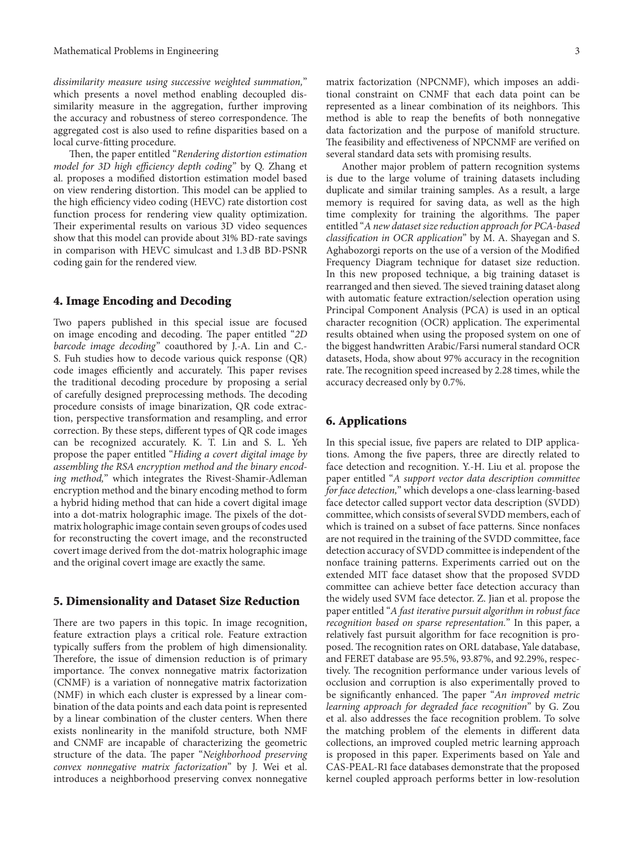*dissimilarity measure using successive weighted summation,*" which presents a novel method enabling decoupled dissimilarity measure in the aggregation, further improving the accuracy and robustness of stereo correspondence. The aggregated cost is also used to refine disparities based on a local curve-fitting procedure.

Then, the paper entitled "*Rendering distortion estimation model for 3D high efficiency depth coding*" by Q. Zhang et al. proposes a modified distortion estimation model based on view rendering distortion. This model can be applied to the high efficiency video coding (HEVC) rate distortion cost function process for rendering view quality optimization. Their experimental results on various 3D video sequences show that this model can provide about 31% BD-rate savings in comparison with HEVC simulcast and 1.3 dB BD-PSNR coding gain for the rendered view.

#### **4. Image Encoding and Decoding**

Two papers published in this special issue are focused on image encoding and decoding. The paper entitled "*2D barcode image decoding*" coauthored by J.-A. Lin and C.- S. Fuh studies how to decode various quick response (QR) code images efficiently and accurately. This paper revises the traditional decoding procedure by proposing a serial of carefully designed preprocessing methods. The decoding procedure consists of image binarization, QR code extraction, perspective transformation and resampling, and error correction. By these steps, different types of QR code images can be recognized accurately. K. T. Lin and S. L. Yeh propose the paper entitled "*Hiding a covert digital image by assembling the RSA encryption method and the binary encoding method,*" which integrates the Rivest-Shamir-Adleman encryption method and the binary encoding method to form a hybrid hiding method that can hide a covert digital image into a dot-matrix holographic image. The pixels of the dotmatrix holographic image contain seven groups of codes used for reconstructing the covert image, and the reconstructed covert image derived from the dot-matrix holographic image and the original covert image are exactly the same.

#### **5. Dimensionality and Dataset Size Reduction**

There are two papers in this topic. In image recognition, feature extraction plays a critical role. Feature extraction typically suffers from the problem of high dimensionality. Therefore, the issue of dimension reduction is of primary importance. The convex nonnegative matrix factorization (CNMF) is a variation of nonnegative matrix factorization (NMF) in which each cluster is expressed by a linear combination of the data points and each data point is represented by a linear combination of the cluster centers. When there exists nonlinearity in the manifold structure, both NMF and CNMF are incapable of characterizing the geometric structure of the data. The paper "*Neighborhood preserving convex nonnegative matrix factorization*" by J. Wei et al. introduces a neighborhood preserving convex nonnegative

matrix factorization (NPCNMF), which imposes an additional constraint on CNMF that each data point can be represented as a linear combination of its neighbors. This method is able to reap the benefits of both nonnegative data factorization and the purpose of manifold structure. The feasibility and effectiveness of NPCNMF are verified on several standard data sets with promising results.

Another major problem of pattern recognition systems is due to the large volume of training datasets including duplicate and similar training samples. As a result, a large memory is required for saving data, as well as the high time complexity for training the algorithms. The paper entitled "*A new dataset size reduction approach for PCA-based classification in OCR application*" by M. A. Shayegan and S. Aghabozorgi reports on the use of a version of the Modified Frequency Diagram technique for dataset size reduction. In this new proposed technique, a big training dataset is rearranged and then sieved. The sieved training dataset along with automatic feature extraction/selection operation using Principal Component Analysis (PCA) is used in an optical character recognition (OCR) application. The experimental results obtained when using the proposed system on one of the biggest handwritten Arabic/Farsi numeral standard OCR datasets, Hoda, show about 97% accuracy in the recognition rate. The recognition speed increased by 2.28 times, while the accuracy decreased only by 0.7%.

#### **6. Applications**

In this special issue, five papers are related to DIP applications. Among the five papers, three are directly related to face detection and recognition. Y.-H. Liu et al. propose the paper entitled "*A support vector data description committee for face detection,*" which develops a one-class learning-based face detector called support vector data description (SVDD) committee, which consists of several SVDD members, each of which is trained on a subset of face patterns. Since nonfaces are not required in the training of the SVDD committee, face detection accuracy of SVDD committee is independent of the nonface training patterns. Experiments carried out on the extended MIT face dataset show that the proposed SVDD committee can achieve better face detection accuracy than the widely used SVM face detector. Z. Jian et al. propose the paper entitled "*A fast iterative pursuit algorithm in robust face recognition based on sparse representation.*" In this paper, a relatively fast pursuit algorithm for face recognition is proposed. The recognition rates on ORL database, Yale database, and FERET database are 95.5%, 93.87%, and 92.29%, respectively. The recognition performance under various levels of occlusion and corruption is also experimentally proved to be significantly enhanced. The paper "*An improved metric learning approach for degraded face recognition*" by G. Zou et al. also addresses the face recognition problem. To solve the matching problem of the elements in different data collections, an improved coupled metric learning approach is proposed in this paper. Experiments based on Yale and CAS-PEAL-R1 face databases demonstrate that the proposed kernel coupled approach performs better in low-resolution